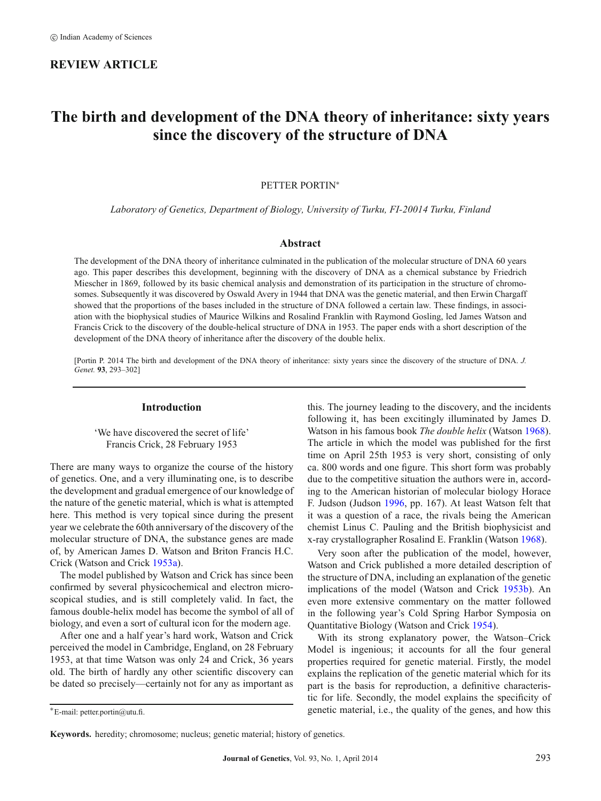# **REVIEW ARTICLE**

# **The birth and development of the DNA theory of inheritance: sixty years since the discovery of the structure of DNA**

PETTER PORTIN<sup>∗</sup>

*Laboratory of Genetics, Department of Biology, University of Turku, FI-20014 Turku, Finland*

# **Abstract**

The development of the DNA theory of inheritance culminated in the publication of the molecular structure of DNA 60 years ago. This paper describes this development, beginning with the discovery of DNA as a chemical substance by Friedrich Miescher in 1869, followed by its basic chemical analysis and demonstration of its participation in the structure of chromosomes. Subsequently it was discovered by Oswald Avery in 1944 that DNA was the genetic material, and then Erwin Chargaff showed that the proportions of the bases included in the structure of DNA followed a certain law. These findings, in association with the biophysical studies of Maurice Wilkins and Rosalind Franklin with Raymond Gosling, led James Watson and Francis Crick to the discovery of the double-helical structure of DNA in 1953. The paper ends with a short description of the development of the DNA theory of inheritance after the discovery of the double helix.

[Portin P. 2014 The birth and development of the DNA theory of inheritance: sixty years since the discovery of the structure of DNA. *J. Genet.* **93**, 293–302]

# **Introduction**

'We have discovered the secret of life' Francis Crick, 28 February 1953

There are many ways to organize the course of the history of genetics. One, and a very illuminating one, is to describe the development and gradual emergence of our knowledge of the nature of the genetic material, which is what is attempted here. This method is very topical since during the present year we celebrate the 60th anniversary of the discovery of the molecular structure of DNA, the substance genes are made of, by American James D. Watson and Briton Francis H.C. Crick (Watson and Crick [1953a\)](#page-9-0).

The model published by Watson and Crick has since been confirmed by several physicochemical and electron microscopical studies, and is still completely valid. In fact, the famous double-helix model has become the symbol of all of biology, and even a sort of cultural icon for the modern age.

After one and a half year's hard work, Watson and Crick perceived the model in Cambridge, England, on 28 February 1953, at that time Watson was only 24 and Crick, 36 years old. The birth of hardly any other scientific discovery can be dated so precisely—certainly not for any as important as this. The journey leading to the discovery, and the incidents following it, has been excitingly illuminated by James D. Watson in his famous book *The double helix* (Watson [1968\)](#page-9-1). The article in which the model was published for the first time on April 25th 1953 is very short, consisting of only ca. 800 words and one figure. This short form was probably due to the competitive situation the authors were in, according to the American historian of molecular biology Horace F. Judson (Judson [1996,](#page-8-0) pp. 167). At least Watson felt that it was a question of a race, the rivals being the American chemist Linus C. Pauling and the British biophysicist and x-ray crystallographer Rosalind E. Franklin (Watson [1968\)](#page-9-1).

Very soon after the publication of the model, however, Watson and Crick published a more detailed description of the structure of DNA, including an explanation of the genetic implications of the model (Watson and Crick [1953b\)](#page-9-2). An even more extensive commentary on the matter followed in the following year's Cold Spring Harbor Symposia on Quantitative Biology (Watson and Crick [1954\)](#page-9-3).

With its strong explanatory power, the Watson–Crick Model is ingenious; it accounts for all the four general properties required for genetic material. Firstly, the model explains the replication of the genetic material which for its part is the basis for reproduction, a definitive characteristic for life. Secondly, the model explains the specificity of genetic material, i.e., the quality of the genes, and how this

<sup>∗</sup>E-mail: petter.portin@utu.fi.

**Keywords.** heredity; chromosome; nucleus; genetic material; history of genetics.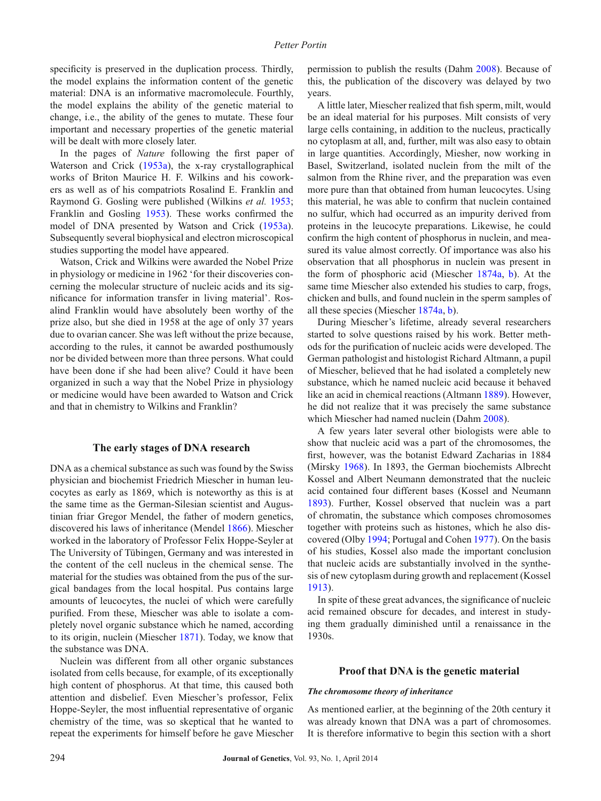specificity is preserved in the duplication process. Thirdly, the model explains the information content of the genetic material: DNA is an informative macromolecule. Fourthly, the model explains the ability of the genetic material to change, i.e., the ability of the genes to mutate. These four important and necessary properties of the genetic material will be dealt with more closely later.

In the pages of *Nature* following the first paper of Waterson and Crick [\(1953a\)](#page-9-0), the x-ray crystallographical works of Briton Maurice H. F. Wilkins and his coworkers as well as of his compatriots Rosalind E. Franklin and Raymond G. Gosling were published (Wilkins *et al.* [1953;](#page-9-4) Franklin and Gosling [1953\)](#page-7-0). These works confirmed the model of DNA presented by Watson and Crick [\(1953a\)](#page-9-0). Subsequently several biophysical and electron microscopical studies supporting the model have appeared.

Watson, Crick and Wilkins were awarded the Nobel Prize in physiology or medicine in 1962 'for their discoveries concerning the molecular structure of nucleic acids and its significance for information transfer in living material'. Rosalind Franklin would have absolutely been worthy of the prize also, but she died in 1958 at the age of only 37 years due to ovarian cancer. She was left without the prize because, according to the rules, it cannot be awarded posthumously nor be divided between more than three persons. What could have been done if she had been alive? Could it have been organized in such a way that the Nobel Prize in physiology or medicine would have been awarded to Watson and Crick and that in chemistry to Wilkins and Franklin?

# **The early stages of DNA research**

DNA as a chemical substance as such was found by the Swiss physician and biochemist Friedrich Miescher in human leucocytes as early as 1869, which is noteworthy as this is at the same time as the German-Silesian scientist and Augustinian friar Gregor Mendel, the father of modern genetics, discovered his laws of inheritance (Mendel [1866\)](#page-8-1). Miescher worked in the laboratory of Professor Felix Hoppe-Seyler at The University of Tübingen, Germany and was interested in the content of the cell nucleus in the chemical sense. The material for the studies was obtained from the pus of the surgical bandages from the local hospital. Pus contains large amounts of leucocytes, the nuclei of which were carefully purified. From these, Miescher was able to isolate a completely novel organic substance which he named, according to its origin, nuclein (Miescher [1871\)](#page-8-2). Today, we know that the substance was DNA.

Nuclein was different from all other organic substances isolated from cells because, for example, of its exceptionally high content of phosphorus. At that time, this caused both attention and disbelief. Even Miescher's professor, Felix Hoppe-Seyler, the most influential representative of organic chemistry of the time, was so skeptical that he wanted to repeat the experiments for himself before he gave Miescher

permission to publish the results (Dahm [2008\)](#page-7-1). Because of this, the publication of the discovery was delayed by two years.

A little later, Miescher realized that fish sperm, milt, would be an ideal material for his purposes. Milt consists of very large cells containing, in addition to the nucleus, practically no cytoplasm at all, and, further, milt was also easy to obtain in large quantities. Accordingly, Miesher, now working in Basel, Switzerland, isolated nuclein from the milt of the salmon from the Rhine river, and the preparation was even more pure than that obtained from human leucocytes. Using this material, he was able to confirm that nuclein contained no sulfur, which had occurred as an impurity derived from proteins in the leucocyte preparations. Likewise, he could confirm the high content of phosphorus in nuclein, and measured its value almost correctly. Of importance was also his observation that all phosphorus in nuclein was present in the form of phosphoric acid (Miescher [1874a,](#page-8-3) [b\)](#page-8-4). At the same time Miescher also extended his studies to carp, frogs, chicken and bulls, and found nuclein in the sperm samples of all these species (Miescher [1874a,](#page-8-3) [b\)](#page-8-4).

During Miescher's lifetime, already several researchers started to solve questions raised by his work. Better methods for the purification of nucleic acids were developed. The German pathologist and histologist Richard Altmann, a pupil of Miescher, believed that he had isolated a completely new substance, which he named nucleic acid because it behaved like an acid in chemical reactions (Altmann [1889\)](#page-7-2). However, he did not realize that it was precisely the same substance which Miescher had named nuclein (Dahm [2008\)](#page-7-1).

A few years later several other biologists were able to show that nucleic acid was a part of the chromosomes, the first, however, was the botanist Edward Zacharias in 1884 (Mirsky [1968\)](#page-8-5). In 1893, the German biochemists Albrecht Kossel and Albert Neumann demonstrated that the nucleic acid contained four different bases (Kossel and Neumann [1893\)](#page-8-6). Further, Kossel observed that nuclein was a part of chromatin, the substance which composes chromosomes together with proteins such as histones, which he also discovered (Olby [1994;](#page-8-7) Portugal and Cohen [1977\)](#page-8-8). On the basis of his studies, Kossel also made the important conclusion that nucleic acids are substantially involved in the synthesis of new cytoplasm during growth and replacement (Kossel [1913\)](#page-8-9).

In spite of these great advances, the significance of nucleic acid remained obscure for decades, and interest in studying them gradually diminished until a renaissance in the 1930s.

#### **Proof that DNA is the genetic material**

### *The chromosome theory of inheritance*

As mentioned earlier, at the beginning of the 20th century it was already known that DNA was a part of chromosomes. It is therefore informative to begin this section with a short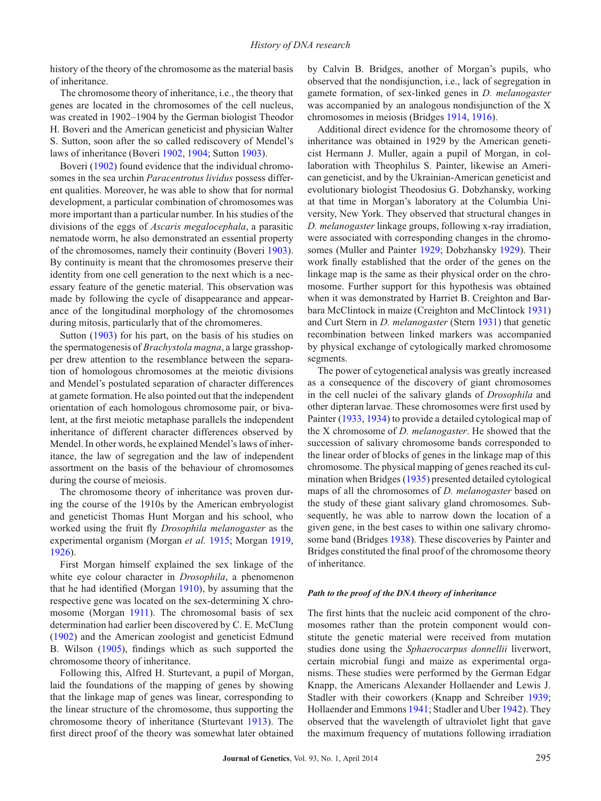history of the theory of the chromosome as the material basis of inheritance.

The chromosome theory of inheritance, i.e., the theory that genes are located in the chromosomes of the cell nucleus, was created in 1902–1904 by the German biologist Theodor H. Boveri and the American geneticist and physician Walter S. Sutton, soon after the so called rediscovery of Mendel's laws of inheritance (Boveri [1902,](#page-7-3) [1904;](#page-7-4) Sutton [1903\)](#page-9-5).

Boveri [\(1902\)](#page-7-3) found evidence that the individual chromosomes in the sea urchin *Paracentrotus lividus* possess different qualities. Moreover, he was able to show that for normal development, a particular combination of chromosomes was more important than a particular number. In his studies of the divisions of the eggs of *Ascaris megalocephala*, a parasitic nematode worm, he also demonstrated an essential property of the chromosomes, namely their continuity (Boveri [1903\)](#page-7-5). By continuity is meant that the chromosomes preserve their identity from one cell generation to the next which is a necessary feature of the genetic material. This observation was made by following the cycle of disappearance and appearance of the longitudinal morphology of the chromosomes during mitosis, particularly that of the chromomeres.

Sutton [\(1903\)](#page-9-5) for his part, on the basis of his studies on the spermatogenesis of *Brachystola magna*, a large grasshopper drew attention to the resemblance between the separation of homologous chromosomes at the meiotic divisions and Mendel's postulated separation of character differences at gamete formation. He also pointed out that the independent orientation of each homologous chromosome pair, or bivalent, at the first meiotic metaphase parallels the independent inheritance of different character differences observed by Mendel. In other words, he explained Mendel's laws of inheritance, the law of segregation and the law of independent assortment on the basis of the behaviour of chromosomes during the course of meiosis.

The chromosome theory of inheritance was proven during the course of the 1910s by the American embryologist and geneticist Thomas Hunt Morgan and his school, who worked using the fruit fly *Drosophila melanogaster* as the experimental organism (Morgan *et al.* [1915;](#page-8-10) Morgan [1919,](#page-8-11) [1926\)](#page-8-12).

First Morgan himself explained the sex linkage of the white eye colour character in *Drosophila*, a phenomenon that he had identified (Morgan [1910\)](#page-8-13), by assuming that the respective gene was located on the sex-determining X chromosome (Morgan [1911\)](#page-8-14). The chromosomal basis of sex determination had earlier been discovered by C. E. McClung [\(1902\)](#page-8-15) and the American zoologist and geneticist Edmund B. Wilson [\(1905\)](#page-9-6), findings which as such supported the chromosome theory of inheritance.

Following this, Alfred H. Sturtevant, a pupil of Morgan, laid the foundations of the mapping of genes by showing that the linkage map of genes was linear, corresponding to the linear structure of the chromosome, thus supporting the chromosome theory of inheritance (Sturtevant [1913\)](#page-9-7). The first direct proof of the theory was somewhat later obtained by Calvin B. Bridges, another of Morgan's pupils, who observed that the nondisjunction, i.e., lack of segregation in gamete formation, of sex-linked genes in *D. melanogaster* was accompanied by an analogous nondisjunction of the X chromosomes in meiosis (Bridges [1914,](#page-7-6) [1916\)](#page-7-7).

Additional direct evidence for the chromosome theory of inheritance was obtained in 1929 by the American geneticist Hermann J. Muller, again a pupil of Morgan, in collaboration with Theophilus S. Painter, likewise an American geneticist, and by the Ukrainian-American geneticist and evolutionary biologist Theodosius G. Dobzhansky, working at that time in Morgan's laboratory at the Columbia University, New York. They observed that structural changes in *D. melanogaster* linkage groups, following x-ray irradiation, were associated with corresponding changes in the chromosomes (Muller and Painter [1929;](#page-8-16) Dobzhansky [1929\)](#page-7-8). Their work finally established that the order of the genes on the linkage map is the same as their physical order on the chromosome. Further support for this hypothesis was obtained when it was demonstrated by Harriet B. Creighton and Barbara McClintock in maize (Creighton and McClintock [1931\)](#page-7-9) and Curt Stern in *D. melanogaster* (Stern [1931\)](#page-8-17) that genetic recombination between linked markers was accompanied by physical exchange of cytologically marked chromosome segments.

The power of cytogenetical analysis was greatly increased as a consequence of the discovery of giant chromosomes in the cell nuclei of the salivary glands of *Drosophila* and other dipteran larvae. These chromosomes were first used by Painter [\(1933,](#page-8-18) [1934\)](#page-8-19) to provide a detailed cytological map of the X chromosome of *D. melanogaster*. He showed that the succession of salivary chromosome bands corresponded to the linear order of blocks of genes in the linkage map of this chromosome. The physical mapping of genes reached its culmination when Bridges [\(1935\)](#page-7-10) presented detailed cytological maps of all the chromosomes of *D. melanogaster* based on the study of these giant salivary gland chromosomes. Subsequently, he was able to narrow down the location of a given gene, in the best cases to within one salivary chromosome band (Bridges [1938\)](#page-7-11). These discoveries by Painter and Bridges constituted the final proof of the chromosome theory of inheritance.

#### *Path to the proof of the DNA theory of inheritance*

The first hints that the nucleic acid component of the chromosomes rather than the protein component would constitute the genetic material were received from mutation studies done using the *Sphaerocarpus donnellii* liverwort, certain microbial fungi and maize as experimental organisms. These studies were performed by the German Edgar Knapp, the Americans Alexander Hollaender and Lewis J. Stadler with their coworkers (Knapp and Schreiber [1939;](#page-8-20) Hollaender and Emmons [1941;](#page-8-21) Stadler and Uber [1942\)](#page-8-22). They observed that the wavelength of ultraviolet light that gave the maximum frequency of mutations following irradiation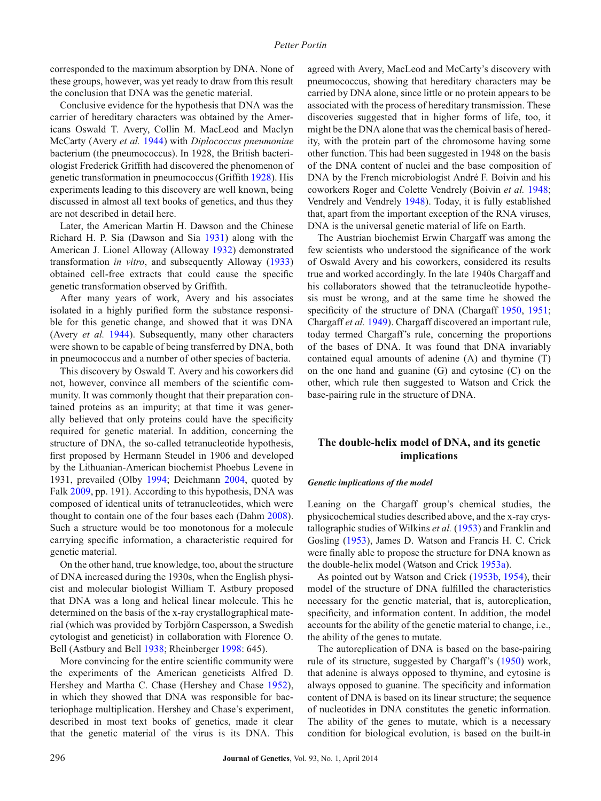corresponded to the maximum absorption by DNA. None of these groups, however, was yet ready to draw from this result the conclusion that DNA was the genetic material.

Conclusive evidence for the hypothesis that DNA was the carrier of hereditary characters was obtained by the Americans Oswald T. Avery, Collin M. MacLeod and Maclyn McCarty (Avery *et al.* [1944\)](#page-7-12) with *Diplococcus pneumoniae* bacterium (the pneumococcus). In 1928, the British bacteriologist Frederick Griffith had discovered the phenomenon of genetic transformation in pneumococcus (Griffith [1928\)](#page-8-23). His experiments leading to this discovery are well known, being discussed in almost all text books of genetics, and thus they are not described in detail here.

Later, the American Martin H. Dawson and the Chinese Richard H. P. Sia (Dawson and Sia [1931\)](#page-7-13) along with the American J. Lionel Alloway (Alloway [1932\)](#page-7-14) demonstrated transformation *in vitro*, and subsequently Alloway [\(1933\)](#page-7-15) obtained cell-free extracts that could cause the specific genetic transformation observed by Griffith.

After many years of work, Avery and his associates isolated in a highly purified form the substance responsible for this genetic change, and showed that it was DNA (Avery *et al.* [1944\)](#page-7-12). Subsequently, many other characters were shown to be capable of being transferred by DNA, both in pneumococcus and a number of other species of bacteria.

This discovery by Oswald T. Avery and his coworkers did not, however, convince all members of the scientific community. It was commonly thought that their preparation contained proteins as an impurity; at that time it was generally believed that only proteins could have the specificity required for genetic material. In addition, concerning the structure of DNA, the so-called tetranucleotide hypothesis, first proposed by Hermann Steudel in 1906 and developed by the Lithuanian-American biochemist Phoebus Levene in 1931, prevailed (Olby [1994;](#page-8-7) Deichmann [2004,](#page-7-16) quoted by Falk [2009,](#page-7-17) pp. 191). According to this hypothesis, DNA was composed of identical units of tetranucleotides, which were thought to contain one of the four bases each (Dahm [2008\)](#page-7-1). Such a structure would be too monotonous for a molecule carrying specific information, a characteristic required for genetic material.

On the other hand, true knowledge, too, about the structure of DNA increased during the 1930s, when the English physicist and molecular biologist William T. Astbury proposed that DNA was a long and helical linear molecule. This he determined on the basis of the x-ray crystallographical material (which was provided by Torbjörn Caspersson, a Swedish cytologist and geneticist) in collaboration with Florence O. Bell (Astbury and Bell [1938;](#page-7-18) Rheinberger [1998:](#page-8-24) 645).

More convincing for the entire scientific community were the experiments of the American geneticists Alfred D. Hershey and Martha C. Chase (Hershey and Chase [1952\)](#page-8-25), in which they showed that DNA was responsible for bacteriophage multiplication. Hershey and Chase's experiment, described in most text books of genetics, made it clear that the genetic material of the virus is its DNA. This

agreed with Avery, MacLeod and McCarty's discovery with pneumococcus, showing that hereditary characters may be carried by DNA alone, since little or no protein appears to be associated with the process of hereditary transmission. These discoveries suggested that in higher forms of life, too, it might be the DNA alone that was the chemical basis of heredity, with the protein part of the chromosome having some other function. This had been suggested in 1948 on the basis of the DNA content of nuclei and the base composition of DNA by the French microbiologist André F. Boivin and his coworkers Roger and Colette Vendrely (Boivin *et al.* [1948;](#page-7-19) Vendrely and Vendrely [1948\)](#page-9-8). Today, it is fully established that, apart from the important exception of the RNA viruses, DNA is the universal genetic material of life on Earth.

The Austrian biochemist Erwin Chargaff was among the few scientists who understood the significance of the work of Oswald Avery and his coworkers, considered its results true and worked accordingly. In the late 1940s Chargaff and his collaborators showed that the tetranucleotide hypothesis must be wrong, and at the same time he showed the specificity of the structure of DNA (Chargaff [1950,](#page-7-20) [1951;](#page-7-21) Chargaff *et al.* [1949\)](#page-7-22). Chargaff discovered an important rule, today termed Chargaff's rule, concerning the proportions of the bases of DNA. It was found that DNA invariably contained equal amounts of adenine (A) and thymine (T) on the one hand and guanine (G) and cytosine (C) on the other, which rule then suggested to Watson and Crick the base-pairing rule in the structure of DNA.

# **The double-helix model of DNA, and its genetic implications**

#### *Genetic implications of the model*

Leaning on the Chargaff group's chemical studies, the physicochemical studies described above, and the x-ray crystallographic studies of Wilkins *et al.* [\(1953\)](#page-9-4) and Franklin and Gosling [\(1953\)](#page-7-0), James D. Watson and Francis H. C. Crick were finally able to propose the structure for DNA known as the double-helix model (Watson and Crick [1953a\)](#page-9-0).

As pointed out by Watson and Crick [\(1953b,](#page-9-2) [1954\)](#page-9-3), their model of the structure of DNA fulfilled the characteristics necessary for the genetic material, that is, autoreplication, specificity, and information content. In addition, the model accounts for the ability of the genetic material to change, i.e., the ability of the genes to mutate.

The autoreplication of DNA is based on the base-pairing rule of its structure, suggested by Chargaff's [\(1950\)](#page-7-20) work, that adenine is always opposed to thymine, and cytosine is always opposed to guanine. The specificity and information content of DNA is based on its linear structure; the sequence of nucleotides in DNA constitutes the genetic information. The ability of the genes to mutate, which is a necessary condition for biological evolution, is based on the built-in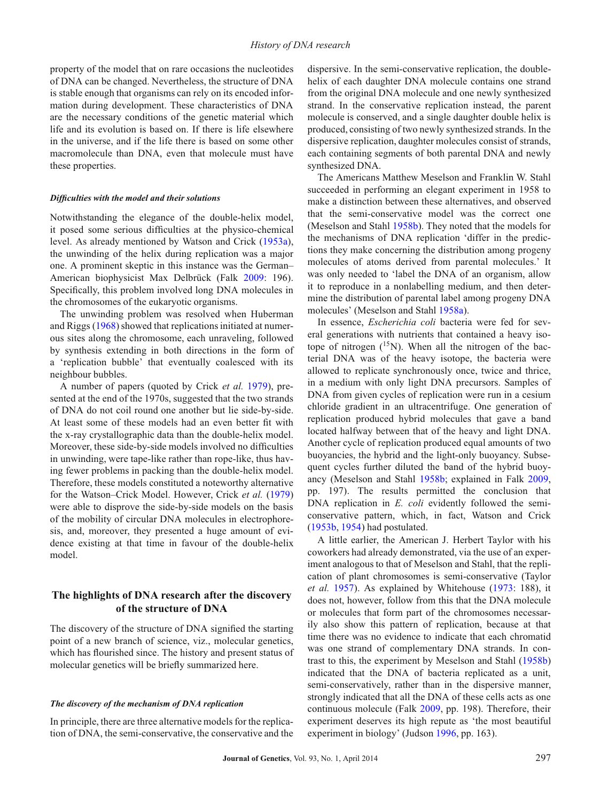property of the model that on rare occasions the nucleotides of DNA can be changed. Nevertheless, the structure of DNA is stable enough that organisms can rely on its encoded information during development. These characteristics of DNA are the necessary conditions of the genetic material which life and its evolution is based on. If there is life elsewhere in the universe, and if the life there is based on some other macromolecule than DNA, even that molecule must have these properties.

## *Difficulties with the model and their solutions*

Notwithstanding the elegance of the double-helix model, it posed some serious difficulties at the physico-chemical level. As already mentioned by Watson and Crick [\(1953a\)](#page-9-0), the unwinding of the helix during replication was a major one. A prominent skeptic in this instance was the German– American biophysicist Max Delbrück (Falk [2009:](#page-7-17) 196). Specifically, this problem involved long DNA molecules in the chromosomes of the eukaryotic organisms.

The unwinding problem was resolved when Huberman and Riggs [\(1968\)](#page-8-26) showed that replications initiated at numerous sites along the chromosome, each unraveling, followed by synthesis extending in both directions in the form of a 'replication bubble' that eventually coalesced with its neighbour bubbles.

A number of papers (quoted by Crick *et al.* [1979\)](#page-7-23), presented at the end of the 1970s, suggested that the two strands of DNA do not coil round one another but lie side-by-side. At least some of these models had an even better fit with the x-ray crystallographic data than the double-helix model. Moreover, these side-by-side models involved no difficulties in unwinding, were tape-like rather than rope-like, thus having fewer problems in packing than the double-helix model. Therefore, these models constituted a noteworthy alternative for the Watson–Crick Model. However, Crick *et al.* [\(1979\)](#page-7-23) were able to disprove the side-by-side models on the basis of the mobility of circular DNA molecules in electrophoresis, and, moreover, they presented a huge amount of evidence existing at that time in favour of the double-helix model.

# **The highlights of DNA research after the discovery of the structure of DNA**

The discovery of the structure of DNA signified the starting point of a new branch of science, viz., molecular genetics, which has flourished since. The history and present status of molecular genetics will be briefly summarized here.

#### *The discovery of the mechanism of DNA replication*

In principle, there are three alternative models for the replication of DNA, the semi-conservative, the conservative and the

dispersive. In the semi-conservative replication, the doublehelix of each daughter DNA molecule contains one strand from the original DNA molecule and one newly synthesized strand. In the conservative replication instead, the parent molecule is conserved, and a single daughter double helix is produced, consisting of two newly synthesized strands. In the dispersive replication, daughter molecules consist of strands, each containing segments of both parental DNA and newly synthesized DNA.

The Americans Matthew Meselson and Franklin W. Stahl succeeded in performing an elegant experiment in 1958 to make a distinction between these alternatives, and observed that the semi-conservative model was the correct one (Meselson and Stahl [1958b\)](#page-8-27). They noted that the models for the mechanisms of DNA replication 'differ in the predictions they make concerning the distribution among progeny molecules of atoms derived from parental molecules.' It was only needed to 'label the DNA of an organism, allow it to reproduce in a nonlabelling medium, and then determine the distribution of parental label among progeny DNA molecules' (Meselson and Stahl [1958a\)](#page-8-28).

In essence, *Escherichia coli* bacteria were fed for several generations with nutrients that contained a heavy isotope of nitrogen  $(^{15}N)$ . When all the nitrogen of the bacterial DNA was of the heavy isotope, the bacteria were allowed to replicate synchronously once, twice and thrice, in a medium with only light DNA precursors. Samples of DNA from given cycles of replication were run in a cesium chloride gradient in an ultracentrifuge. One generation of replication produced hybrid molecules that gave a band located halfway between that of the heavy and light DNA. Another cycle of replication produced equal amounts of two buoyancies, the hybrid and the light-only buoyancy. Subsequent cycles further diluted the band of the hybrid buoyancy (Meselson and Stahl [1958b;](#page-8-27) explained in Falk [2009,](#page-7-17) pp. 197). The results permitted the conclusion that DNA replication in *E. coli* evidently followed the semiconservative pattern, which, in fact, Watson and Crick [\(1953b,](#page-9-2) [1954\)](#page-9-3) had postulated.

A little earlier, the American J. Herbert Taylor with his coworkers had already demonstrated, via the use of an experiment analogous to that of Meselson and Stahl, that the replication of plant chromosomes is semi-conservative (Taylor *et al.* [1957\)](#page-9-9). As explained by Whitehouse [\(1973:](#page-9-10) 188), it does not, however, follow from this that the DNA molecule or molecules that form part of the chromosomes necessarily also show this pattern of replication, because at that time there was no evidence to indicate that each chromatid was one strand of complementary DNA strands. In contrast to this, the experiment by Meselson and Stahl [\(1958b\)](#page-8-27) indicated that the DNA of bacteria replicated as a unit, semi-conservatively, rather than in the dispersive manner, strongly indicated that all the DNA of these cells acts as one continuous molecule (Falk [2009,](#page-7-17) pp. 198). Therefore, their experiment deserves its high repute as 'the most beautiful experiment in biology' (Judson [1996,](#page-8-0) pp. 163).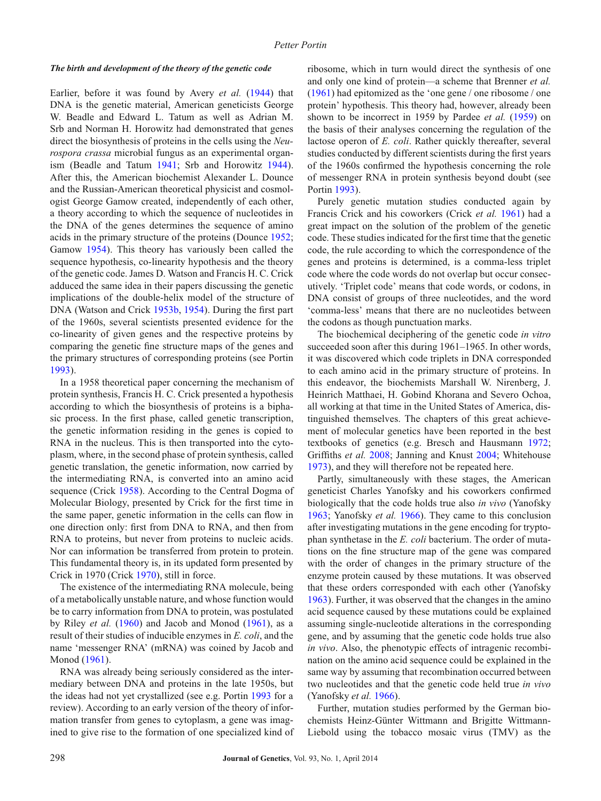#### *The birth and development of the theory of the genetic code*

Earlier, before it was found by Avery *et al.* [\(1944\)](#page-7-12) that DNA is the genetic material, American geneticists George W. Beadle and Edward L. Tatum as well as Adrian M. Srb and Norman H. Horowitz had demonstrated that genes direct the biosynthesis of proteins in the cells using the *Neurospora crassa* microbial fungus as an experimental organism (Beadle and Tatum [1941;](#page-7-24) Srb and Horowitz [1944\)](#page-8-29). After this, the American biochemist Alexander L. Dounce and the Russian-American theoretical physicist and cosmologist George Gamow created, independently of each other, a theory according to which the sequence of nucleotides in the DNA of the genes determines the sequence of amino acids in the primary structure of the proteins (Dounce [1952;](#page-7-25) Gamow [1954\)](#page-8-30). This theory has variously been called the sequence hypothesis, co-linearity hypothesis and the theory of the genetic code. James D. Watson and Francis H. C. Crick adduced the same idea in their papers discussing the genetic implications of the double-helix model of the structure of DNA (Watson and Crick [1953b,](#page-9-2) [1954\)](#page-9-3). During the first part of the 1960s, several scientists presented evidence for the co-linearity of given genes and the respective proteins by comparing the genetic fine structure maps of the genes and the primary structures of corresponding proteins (see Portin [1993\)](#page-8-31).

In a 1958 theoretical paper concerning the mechanism of protein synthesis, Francis H. C. Crick presented a hypothesis according to which the biosynthesis of proteins is a biphasic process. In the first phase, called genetic transcription, the genetic information residing in the genes is copied to RNA in the nucleus. This is then transported into the cytoplasm, where, in the second phase of protein synthesis, called genetic translation, the genetic information, now carried by the intermediating RNA, is converted into an amino acid sequence (Crick [1958\)](#page-7-26). According to the Central Dogma of Molecular Biology, presented by Crick for the first time in the same paper, genetic information in the cells can flow in one direction only: first from DNA to RNA, and then from RNA to proteins, but never from proteins to nucleic acids. Nor can information be transferred from protein to protein. This fundamental theory is, in its updated form presented by Crick in 1970 (Crick [1970\)](#page-7-27), still in force.

The existence of the intermediating RNA molecule, being of a metabolically unstable nature, and whose function would be to carry information from DNA to protein, was postulated by Riley *et al.* [\(1960\)](#page-8-32) and Jacob and Monod [\(1961\)](#page-8-33), as a result of their studies of inducible enzymes in *E. coli*, and the name 'messenger RNA' (mRNA) was coined by Jacob and Monod [\(1961\)](#page-8-33).

RNA was already being seriously considered as the intermediary between DNA and proteins in the late 1950s, but the ideas had not yet crystallized (see e.g. Portin [1993](#page-8-31) for a review). According to an early version of the theory of information transfer from genes to cytoplasm, a gene was imagined to give rise to the formation of one specialized kind of ribosome, which in turn would direct the synthesis of one and only one kind of protein—a scheme that Brenner *et al.* [\(1961\)](#page-7-28) had epitomized as the 'one gene / one ribosome / one protein' hypothesis. This theory had, however, already been shown to be incorrect in 1959 by Pardee *et al.* [\(1959\)](#page-8-34) on the basis of their analyses concerning the regulation of the lactose operon of *E. coli*. Rather quickly thereafter, several studies conducted by different scientists during the first years of the 1960s confirmed the hypothesis concerning the role of messenger RNA in protein synthesis beyond doubt (see Portin [1993\)](#page-8-31).

Purely genetic mutation studies conducted again by Francis Crick and his coworkers (Crick *et al.* [1961\)](#page-7-29) had a great impact on the solution of the problem of the genetic code. These studies indicated for the first time that the genetic code, the rule according to which the correspondence of the genes and proteins is determined, is a comma-less triplet code where the code words do not overlap but occur consecutively. 'Triplet code' means that code words, or codons, in DNA consist of groups of three nucleotides, and the word 'comma-less' means that there are no nucleotides between the codons as though punctuation marks.

The biochemical deciphering of the genetic code *in vitro* succeeded soon after this during 1961–1965. In other words, it was discovered which code triplets in DNA corresponded to each amino acid in the primary structure of proteins. In this endeavor, the biochemists Marshall W. Nirenberg, J. Heinrich Matthaei, H. Gobind Khorana and Severo Ochoa, all working at that time in the United States of America, distinguished themselves. The chapters of this great achievement of molecular genetics have been reported in the best textbooks of genetics (e.g. Bresch and Hausmann [1972;](#page-7-30) Griffiths *et al.* [2008;](#page-8-35) Janning and Knust [2004;](#page-8-36) Whitehouse [1973\)](#page-9-10), and they will therefore not be repeated here.

Partly, simultaneously with these stages, the American geneticist Charles Yanofsky and his coworkers confirmed biologically that the code holds true also *in vivo* (Yanofsky [1963;](#page-9-11) Yanofsky *et al.* [1966\)](#page-9-12). They came to this conclusion after investigating mutations in the gene encoding for tryptophan synthetase in the *E. coli* bacterium. The order of mutations on the fine structure map of the gene was compared with the order of changes in the primary structure of the enzyme protein caused by these mutations. It was observed that these orders corresponded with each other (Yanofsky [1963\)](#page-9-11). Further, it was observed that the changes in the amino acid sequence caused by these mutations could be explained assuming single-nucleotide alterations in the corresponding gene, and by assuming that the genetic code holds true also *in vivo*. Also, the phenotypic effects of intragenic recombination on the amino acid sequence could be explained in the same way by assuming that recombination occurred between two nucleotides and that the genetic code held true *in vivo* (Yanofsky *et al.* [1966\)](#page-9-12).

Further, mutation studies performed by the German biochemists Heinz-Günter Wittmann and Brigitte Wittmann-Liebold using the tobacco mosaic virus (TMV) as the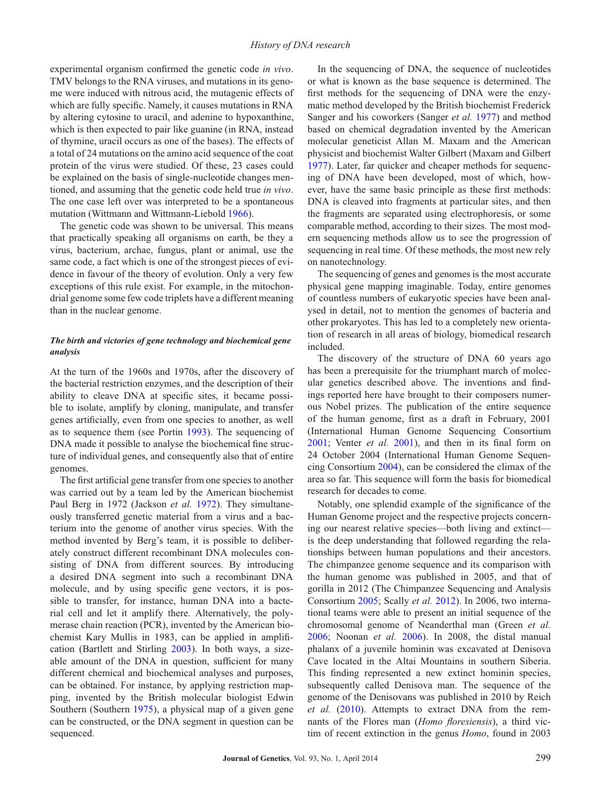experimental organism confirmed the genetic code *in vivo*. TMV belongs to the RNA viruses, and mutations in its genome were induced with nitrous acid, the mutagenic effects of which are fully specific. Namely, it causes mutations in RNA by altering cytosine to uracil, and adenine to hypoxanthine, which is then expected to pair like guanine (in RNA, instead of thymine, uracil occurs as one of the bases). The effects of a total of 24 mutations on the amino acid sequence of the coat protein of the virus were studied. Of these, 23 cases could be explained on the basis of single-nucleotide changes mentioned, and assuming that the genetic code held true *in vivo*. The one case left over was interpreted to be a spontaneous mutation (Wittmann and Wittmann-Liebold [1966\)](#page-9-13).

The genetic code was shown to be universal. This means that practically speaking all organisms on earth, be they a virus, bacterium, archae, fungus, plant or animal, use the same code, a fact which is one of the strongest pieces of evidence in favour of the theory of evolution. Only a very few exceptions of this rule exist. For example, in the mitochondrial genome some few code triplets have a different meaning than in the nuclear genome.

## *The birth and victories of gene technology and biochemical gene analysis*

At the turn of the 1960s and 1970s, after the discovery of the bacterial restriction enzymes, and the description of their ability to cleave DNA at specific sites, it became possible to isolate, amplify by cloning, manipulate, and transfer genes artificially, even from one species to another, as well as to sequence them (see Portin [1993\)](#page-8-31). The sequencing of DNA made it possible to analyse the biochemical fine structure of individual genes, and consequently also that of entire genomes.

The first artificial gene transfer from one species to another was carried out by a team led by the American biochemist Paul Berg in 1972 (Jackson *et al.* [1972\)](#page-8-37). They simultaneously transferred genetic material from a virus and a bacterium into the genome of another virus species. With the method invented by Berg's team, it is possible to deliberately construct different recombinant DNA molecules consisting of DNA from different sources. By introducing a desired DNA segment into such a recombinant DNA molecule, and by using specific gene vectors, it is possible to transfer, for instance, human DNA into a bacterial cell and let it amplify there. Alternatively, the polymerase chain reaction (PCR), invented by the American biochemist Kary Mullis in 1983, can be applied in amplification (Bartlett and Stirling [2003\)](#page-7-31). In both ways, a sizeable amount of the DNA in question, sufficient for many different chemical and biochemical analyses and purposes, can be obtained. For instance, by applying restriction mapping, invented by the British molecular biologist Edwin Southern (Southern [1975\)](#page-8-38), a physical map of a given gene can be constructed, or the DNA segment in question can be sequenced.

In the sequencing of DNA, the sequence of nucleotides or what is known as the base sequence is determined. The first methods for the sequencing of DNA were the enzymatic method developed by the British biochemist Frederick Sanger and his coworkers (Sanger *et al.* [1977\)](#page-8-39) and method based on chemical degradation invented by the American molecular geneticist Allan M. Maxam and the American physicist and biochemist Walter Gilbert (Maxam and Gilbert [1977\)](#page-8-40). Later, far quicker and cheaper methods for sequencing of DNA have been developed, most of which, however, have the same basic principle as these first methods: DNA is cleaved into fragments at particular sites, and then the fragments are separated using electrophoresis, or some comparable method, according to their sizes. The most modern sequencing methods allow us to see the progression of sequencing in real time. Of these methods, the most new rely on nanotechnology.

The sequencing of genes and genomes is the most accurate physical gene mapping imaginable. Today, entire genomes of countless numbers of eukaryotic species have been analysed in detail, not to mention the genomes of bacteria and other prokaryotes. This has led to a completely new orientation of research in all areas of biology, biomedical research included.

The discovery of the structure of DNA 60 years ago has been a prerequisite for the triumphant march of molecular genetics described above. The inventions and findings reported here have brought to their composers numerous Nobel prizes. The publication of the entire sequence of the human genome, first as a draft in February, 2001 (International Human Genome Sequencing Consortium [2001;](#page-8-41) Venter *et al.* [2001\)](#page-9-14), and then in its final form on 24 October 2004 (International Human Genome Sequencing Consortium [2004\)](#page-8-42), can be considered the climax of the area so far. This sequence will form the basis for biomedical research for decades to come.

Notably, one splendid example of the significance of the Human Genome project and the respective projects concerning our nearest relative species—both living and extinct is the deep understanding that followed regarding the relationships between human populations and their ancestors. The chimpanzee genome sequence and its comparison with the human genome was published in 2005, and that of gorilla in 2012 (The Chimpanzee Sequencing and Analysis Consortium [2005;](#page-9-15) Scally *et al.* [2012\)](#page-8-43). In 2006, two international teams were able to present an initial sequence of the chromosomal genome of Neanderthal man (Green *et al.* [2006;](#page-8-44) Noonan *et al.* [2006\)](#page-8-45). In 2008, the distal manual phalanx of a juvenile hominin was excavated at Denisova Cave located in the Altai Mountains in southern Siberia. This finding represented a new extinct hominin species, subsequently called Denisova man. The sequence of the genome of the Denisovans was published in 2010 by Reich *et al.* [\(2010\)](#page-8-46). Attempts to extract DNA from the remnants of the Flores man (*Homo floresiensis*), a third victim of recent extinction in the genus *Homo*, found in 2003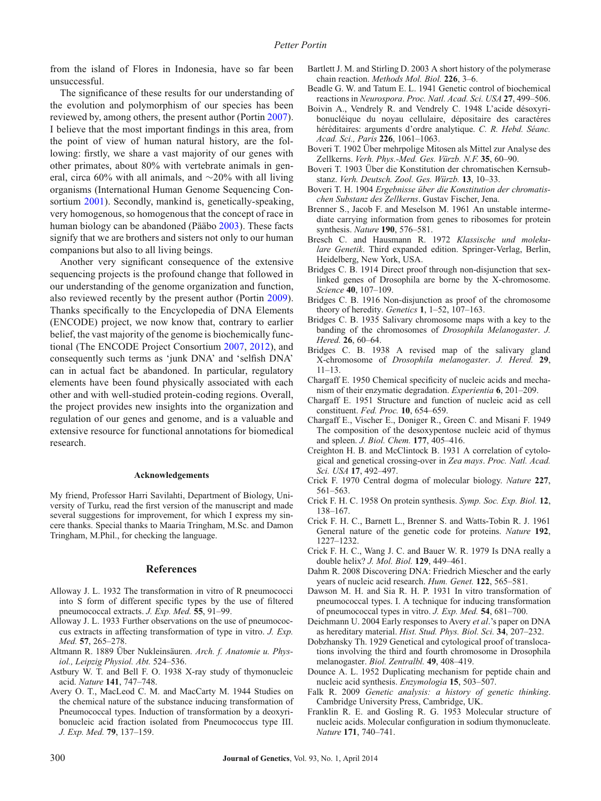from the island of Flores in Indonesia, have so far been unsuccessful.

The significance of these results for our understanding of the evolution and polymorphism of our species has been reviewed by, among others, the present author (Portin [2007\)](#page-8-47). I believe that the most important findings in this area, from the point of view of human natural history, are the following: firstly, we share a vast majority of our genes with other primates, about 80% with vertebrate animals in general, circa 60% with all animals, and ∼20% with all living organisms (International Human Genome Sequencing Con-sortium [2001\)](#page-8-41). Secondly, mankind is, genetically-speaking, very homogenous, so homogenous that the concept of race in human biology can be abandoned (Pääbo [2003\)](#page-8-48). These facts signify that we are brothers and sisters not only to our human companions but also to all living beings.

Another very significant consequence of the extensive sequencing projects is the profound change that followed in our understanding of the genome organization and function, also reviewed recently by the present author (Portin [2009\)](#page-8-49). Thanks specifically to the Encyclopedia of DNA Elements (ENCODE) project, we now know that, contrary to earlier belief, the vast majority of the genome is biochemically functional (The ENCODE Project Consortium [2007,](#page-9-16) [2012\)](#page-9-17), and consequently such terms as 'junk DNA' and 'selfish DNA' can in actual fact be abandoned. In particular, regulatory elements have been found physically associated with each other and with well-studied protein-coding regions. Overall, the project provides new insights into the organization and regulation of our genes and genome, and is a valuable and extensive resource for functional annotations for biomedical research.

#### **Acknowledgements**

My friend, Professor Harri Savilahti, Department of Biology, University of Turku, read the first version of the manuscript and made several suggestions for improvement, for which I express my sincere thanks. Special thanks to Maaria Tringham, M.Sc. and Damon Tringham, M.Phil., for checking the language.

#### **References**

- <span id="page-7-14"></span>Alloway J. L. 1932 The transformation in vitro of R pneumococci into S form of different specific types by the use of filtered pneumococcal extracts. *J. Exp. Med.* **55**, 91–99.
- <span id="page-7-15"></span>Alloway J. L. 1933 Further observations on the use of pneumococcus extracts in affecting transformation of type in vitro. *J. Exp. Med.* **57**, 265–278.
- <span id="page-7-2"></span>Altmann R. 1889 Über Nukleinsäuren. *Arch. f. Anatomie u. Physiol., Leipzig Physiol. Abt.* 524–536.
- <span id="page-7-18"></span>Astbury W. T. and Bell F. O. 1938 X-ray study of thymonucleic acid. *Nature* **141**, 747–748.
- <span id="page-7-12"></span>Avery O. T., MacLeod C. M. and MacCarty M. 1944 Studies on the chemical nature of the substance inducing transformation of Pneumococcal types. Induction of transformation by a deoxyribonucleic acid fraction isolated from Pneumococcus type III. *J. Exp. Med.* **79**, 137–159.
- <span id="page-7-31"></span>Bartlett J. M. and Stirling D. 2003 A short history of the polymerase chain reaction. *Methods Mol. Biol.* **226**, 3–6.
- <span id="page-7-24"></span>Beadle G. W. and Tatum E. L. 1941 Genetic control of biochemical reactions in *Neurospora*. *Proc. Natl. Acad. Sci. USA* **27**, 499–506.
- <span id="page-7-19"></span>Boivin A., Vendrely R. and Vendrely C. 1948 L'acide désoxyribonucléique du noyau cellulaire, dépositaire des caractéres héréditaires: arguments d'ordre analytique. *C. R. Hebd. Séanc. Acad. Sci., Paris* **226**, 1061–1063.
- <span id="page-7-3"></span>Boveri T. 1902 Über mehrpolige Mitosen als Mittel zur Analyse des Zellkerns. *Verh. Phys.-Med. Ges. Vürzb. N.F.* **35**, 60–90.
- <span id="page-7-5"></span>Boveri T. 1903 Über die Konstitution der chromatischen Kernsubstanz. *Verh. Deutsch. Zool. Ges. Würzb.* **13**, 10–33.
- <span id="page-7-4"></span>Boveri T. H. 1904 *Ergebnisse über die Konstitution der chromatischen Substanz des Zellkerns*. Gustav Fischer, Jena.
- <span id="page-7-28"></span>Brenner S., Jacob F. and Meselson M. 1961 An unstable intermediate carrying information from genes to ribosomes for protein synthesis. *Nature* **190**, 576–581.
- <span id="page-7-30"></span>Bresch C. and Hausmann R. 1972 *Klassische und molekulare Genetik*. Third expanded edition. Springer-Verlag, Berlin, Heidelberg, New York, USA.
- <span id="page-7-6"></span>Bridges C. B. 1914 Direct proof through non-disjunction that sexlinked genes of Drosophila are borne by the X-chromosome. *Science* **40**, 107–109.
- <span id="page-7-7"></span>Bridges C. B. 1916 Non-disjunction as proof of the chromosome theory of heredity. *Genetics* **1**, 1–52, 107–163.
- <span id="page-7-10"></span>Bridges C. B. 1935 Salivary chromosome maps with a key to the banding of the chromosomes of *Drosophila Melanogaster*. *J. Hered.* **26**, 60–64.
- <span id="page-7-11"></span>Bridges C. B. 1938 A revised map of the salivary gland X-chromosome of *Drosophila melanogaster*. *J. Hered.* **29**, 11–13.
- <span id="page-7-20"></span>Chargaff E. 1950 Chemical specificity of nucleic acids and mechanism of their enzymatic degradation. *Experientia* **6**, 201–209.
- <span id="page-7-21"></span>Chargaff E. 1951 Structure and function of nucleic acid as cell constituent. *Fed. Proc.* **10**, 654–659.
- <span id="page-7-22"></span>Chargaff E., Vischer E., Doniger R., Green C. and Misani F. 1949 The composition of the desoxypentose nucleic acid of thymus and spleen. *J. Biol. Chem.* **177**, 405–416.
- <span id="page-7-9"></span>Creighton H. B. and McClintock B. 1931 A correlation of cytological and genetical crossing-over in *Zea mays*. *Proc. Natl. Acad. Sci. USA* **17**, 492–497.
- <span id="page-7-27"></span>Crick F. 1970 Central dogma of molecular biology. *Nature* **227**, 561–563.
- <span id="page-7-26"></span>Crick F. H. C. 1958 On protein synthesis. *Symp. Soc. Exp. Biol.* **12**, 138–167.
- <span id="page-7-29"></span>Crick F. H. C., Barnett L., Brenner S. and Watts-Tobin R. J. 1961 General nature of the genetic code for proteins. *Nature* **192**, 1227–1232.
- <span id="page-7-23"></span>Crick F. H. C., Wang J. C. and Bauer W. R. 1979 Is DNA really a double helix? *J. Mol. Biol.* **129**, 449–461.
- <span id="page-7-1"></span>Dahm R. 2008 Discovering DNA: Friedrich Miescher and the early years of nucleic acid research. *Hum. Genet.* **122**, 565–581.
- <span id="page-7-13"></span>Dawson M. H. and Sia R. H. P. 1931 In vitro transformation of pneumococcal types. I. A technique for inducing transformation of pneumococcal types in vitro. *J. Exp. Med.* **54**, 681–700.
- <span id="page-7-16"></span>Deichmann U. 2004 Early responses to Avery *et al*.'s paper on DNA as hereditary material. *Hist. Stud. Phys. Biol. Sci.* **34**, 207–232.
- <span id="page-7-8"></span>Dobzhansky Th. 1929 Genetical and cytological proof of translocations involving the third and fourth chromosome in Drosophila melanogaster. *Biol. Zentralbl.* **49**, 408–419.
- <span id="page-7-25"></span>Dounce A. L. 1952 Duplicating mechanism for peptide chain and nucleic acid synthesis. *Enzymologia* **15**, 503–507.
- <span id="page-7-17"></span>Falk R. 2009 *Genetic analysis: a history of genetic thinking*. Cambridge University Press, Cambridge, UK.
- <span id="page-7-0"></span>Franklin R. E. and Gosling R. G. 1953 Molecular structure of nucleic acids. Molecular configuration in sodium thymonucleate. *Nature* **171**, 740–741.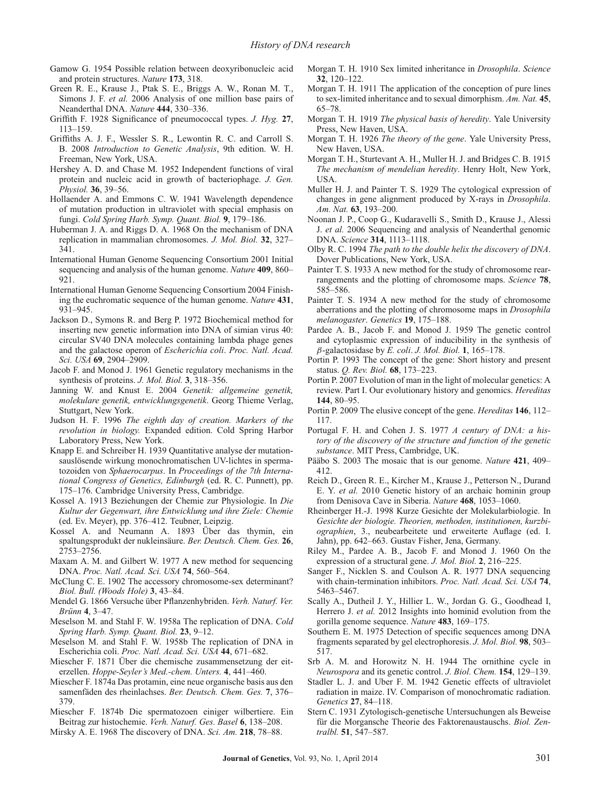- <span id="page-8-30"></span>Gamow G. 1954 Possible relation between deoxyribonucleic acid and protein structures. *Nature* **173**, 318.
- <span id="page-8-44"></span>Green R. E., Krause J., Ptak S. E., Briggs A. W., Ronan M. T., Simons J. F. *et al.* 2006 Analysis of one million base pairs of Neanderthal DNA. *Nature* **444**, 330–336.
- <span id="page-8-23"></span>Griffith F. 1928 Significance of pneumococcal types. *J. Hyg.* **27**, 113–159.
- <span id="page-8-35"></span>Griffiths A. J. F., Wessler S. R., Lewontin R. C. and Carroll S. B. 2008 *Introduction to Genetic Analysis*, 9th edition. W. H. Freeman, New York, USA.
- <span id="page-8-25"></span>Hershey A. D. and Chase M. 1952 Independent functions of viral protein and nucleic acid in growth of bacteriophage. *J. Gen. Physiol.* **36**, 39–56.
- <span id="page-8-21"></span>Hollaender A. and Emmons C. W. 1941 Wavelength dependence of mutation production in ultraviolet with special emphasis on fungi. *Cold Spring Harb. Symp. Quant. Biol.* **9**, 179–186.
- <span id="page-8-26"></span>Huberman J. A. and Riggs D. A. 1968 On the mechanism of DNA replication in mammalian chromosomes. *J. Mol. Biol.* **32**, 327– 341.
- <span id="page-8-41"></span>International Human Genome Sequencing Consortium 2001 Initial sequencing and analysis of the human genome. *Nature* **409**, 860– 921.
- <span id="page-8-42"></span>International Human Genome Sequencing Consortium 2004 Finishing the euchromatic sequence of the human genome. *Nature* **431**, 931–945.
- <span id="page-8-37"></span>Jackson D., Symons R. and Berg P. 1972 Biochemical method for inserting new genetic information into DNA of simian virus 40: circular SV40 DNA molecules containing lambda phage genes and the galactose operon of *Escherichia coli*. *Proc. Natl. Acad. Sci. USA* **69**, 2904–2909.
- <span id="page-8-33"></span>Jacob F. and Monod J. 1961 Genetic regulatory mechanisms in the synthesis of proteins. *J. Mol. Biol.* **3**, 318–356.
- <span id="page-8-36"></span>Janning W. and Knust E. 2004 *Genetik: allgemeine genetik, molekulare genetik, entwicklungsgenetik*. Georg Thieme Verlag, Stuttgart, New York.
- <span id="page-8-0"></span>Judson H. F. 1996 *The eighth day of creation. Markers of the revolution in biology.* Expanded edition. Cold Spring Harbor Laboratory Press, New York.
- <span id="page-8-20"></span>Knapp E. and Schreiber H. 1939 Quantitative analyse der mutationsauslösende wirkung monochromatischen UV-lichtes in spermatozoiden von *Sphaerocarpus*. In *Proceedings of the 7th International Congress of Genetics, Edinburgh* (ed. R. C. Punnett), pp. 175–176. Cambridge University Press, Cambridge.
- <span id="page-8-9"></span>Kossel A. 1913 Beziehungen der Chemie zur Physiologie. In *Die Kultur der Gegenwart, ihre Entwicklung und ihre Ziele: Chemie* (ed. Ev. Meyer), pp. 376–412. Teubner, Leipzig.
- <span id="page-8-6"></span>Kossel A. and Neumann A. 1893 Über das thymin, ein spaltungsprodukt der nukleinsäure. *Ber. Deutsch. Chem. Ges.* **26**, 2753–2756.
- <span id="page-8-40"></span>Maxam A. M. and Gilbert W. 1977 A new method for sequencing DNA. *Proc. Natl. Acad. Sci. USA* **74**, 560–564.
- <span id="page-8-15"></span>McClung C. E. 1902 The accessory chromosome-sex determinant? *Biol. Bull. (Woods Hole)* **3**, 43–84.
- <span id="page-8-1"></span>Mendel G. 1866 Versuche über Pflanzenhybriden. *Verh. Naturf. Ver. Brünn* **4**, 3–47.
- <span id="page-8-28"></span>Meselson M. and Stahl F. W. 1958a The replication of DNA. *Cold Spring Harb. Symp. Quant. Biol.* **23**, 9–12.
- <span id="page-8-27"></span>Meselson M. and Stahl F. W. 1958b The replication of DNA in Escherichia coli. *Proc. Natl. Acad. Sci. USA* **44**, 671–682.
- <span id="page-8-2"></span>Miescher F. 1871 Über die chemische zusammensetzung der eiterzellen. *Hoppe-Seyler's Med.-chem. Unters.* **4**, 441–460.
- <span id="page-8-3"></span>Miescher F. 1874a Das protamin, eine neue organische basis aus den samenfäden des rheinlachses. *Ber. Deutsch. Chem. Ges.* **7**, 376– 379.
- <span id="page-8-4"></span>Miescher F. 1874b Die spermatozoen einiger wilbertiere. Ein Beitrag zur histochemie. *Verh. Naturf. Ges. Basel* **6**, 138–208.
- <span id="page-8-5"></span>Mirsky A. E. 1968 The discovery of DNA. *Sci. Am.* **218**, 78–88.
- <span id="page-8-13"></span>Morgan T. H. 1910 Sex limited inheritance in *Drosophila*. *Science* **32**, 120–122.
- <span id="page-8-14"></span>Morgan T. H. 1911 The application of the conception of pure lines to sex-limited inheritance and to sexual dimorphism. *Am. Nat.* **45**, 65–78.
- <span id="page-8-11"></span>Morgan T. H. 1919 *The physical basis of heredity*. Yale University Press, New Haven, USA.
- <span id="page-8-12"></span>Morgan T. H. 1926 *The theory of the gene*. Yale University Press, New Haven, USA.
- <span id="page-8-10"></span>Morgan T. H., Sturtevant A. H., Muller H. J. and Bridges C. B. 1915 *The mechanism of mendelian heredity*. Henry Holt, New York, **I**ISA.
- <span id="page-8-16"></span>Muller H. J. and Painter T. S. 1929 The cytological expression of changes in gene alignment produced by X-rays in *Drosophila*. *Am. Nat.* **63**, 193–200.
- <span id="page-8-45"></span>Noonan J. P., Coop G., Kudaravelli S., Smith D., Krause J., Alessi J. *et al.* 2006 Sequencing and analysis of Neanderthal genomic DNA. *Science* **314**, 1113–1118.
- <span id="page-8-7"></span>Olby R. C. 1994 *The path to the double helix the discovery of DNA*. Dover Publications, New York, USA.
- <span id="page-8-18"></span>Painter T. S. 1933 A new method for the study of chromosome rearrangements and the plotting of chromosome maps. *Science* **78**, 585–586.
- <span id="page-8-19"></span>Painter T. S. 1934 A new method for the study of chromosome aberrations and the plotting of chromosome maps in *Drosophila melanogaster*. *Genetics* **19**, 175–188.
- <span id="page-8-34"></span>Pardee A. B., Jacob F. and Monod J. 1959 The genetic control and cytoplasmic expression of inducibility in the synthesis of β-galactosidase by *E. coli*. *J. Mol. Biol.* **1**, 165–178.
- <span id="page-8-31"></span>Portin P. 1993 The concept of the gene: Short history and present status. *Q. Rev. Biol.* **68**, 173–223.
- <span id="page-8-47"></span>Portin P. 2007 Evolution of man in the light of molecular genetics: A review. Part I. Our evolutionary history and genomics. *Hereditas* **144**, 80–95.
- <span id="page-8-49"></span>Portin P. 2009 The elusive concept of the gene. *Hereditas* **146**, 112– 117.
- <span id="page-8-8"></span>Portugal F. H. and Cohen J. S. 1977 *A century of DNA: a history of the discovery of the structure and function of the genetic substance*. MIT Press, Cambridge, UK.
- <span id="page-8-48"></span>Pääbo S. 2003 The mosaic that is our genome. *Nature* **421**, 409– 412.
- <span id="page-8-46"></span>Reich D., Green R. E., Kircher M., Krause J., Petterson N., Durand E. Y. *et al.* 2010 Genetic history of an archaic hominin group from Denisova Cave in Siberia. *Nature* **468**, 1053–1060.
- <span id="page-8-24"></span>Rheinberger H.-J. 1998 Kurze Gesichte der Molekularbiologie. In *Gesichte der biologie. Theorien, methoden, institutionen, kurzbiographien*, 3., neubearbeitete und erweiterte Auflage (ed. I. Jahn), pp. 642–663. Gustav Fisher, Jena, Germany.
- <span id="page-8-32"></span>Riley M., Pardee A. B., Jacob F. and Monod J. 1960 On the expression of a structural gene. *J. Mol. Biol.* **2**, 216–225.
- <span id="page-8-39"></span>Sanger F., Nicklen S. and Coulson A. R. 1977 DNA sequencing with chain-termination inhibitors. *Proc. Natl. Acad. Sci. USA* **74**, 5463–5467.
- <span id="page-8-43"></span>Scally A., Dutheil J. Y., Hillier L. W., Jordan G. G., Goodhead I, Herrero J. *et al.* 2012 Insights into hominid evolution from the gorilla genome sequence. *Nature* **483**, 169–175.
- <span id="page-8-38"></span>Southern E. M. 1975 Detection of specific sequences among DNA fragments separated by gel electrophoresis. *J. Mol. Biol.* **98**, 503– 517.
- <span id="page-8-29"></span>Srb A. M. and Horowitz N. H. 1944 The ornithine cycle in *Neurospora* and its genetic control. *J. Biol. Chem.* **154**, 129–139.
- <span id="page-8-22"></span>Stadler L. J. and Uber F. M. 1942 Genetic effects of ultraviolet radiation in maize. IV. Comparison of monochromatic radiation. *Genetics* **27**, 84–118.
- <span id="page-8-17"></span>Stern C. 1931 Zytologisch-genetische Untersuchungen als Beweise für die Morgansche Theorie des Faktorenaustauschs. *Biol. Zentralbl.* **51**, 547–587.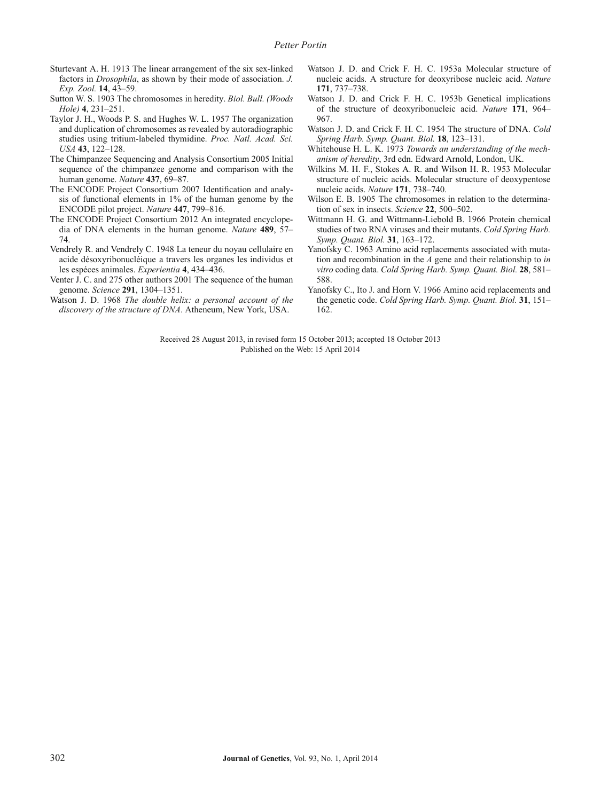- <span id="page-9-7"></span>Sturtevant A. H. 1913 The linear arrangement of the six sex-linked factors in *Drosophila*, as shown by their mode of association. *J. Exp. Zool.* **14**, 43–59.
- <span id="page-9-5"></span>Sutton W. S. 1903 The chromosomes in heredity. *Biol. Bull. (Woods Hole)* **4**, 231–251.
- <span id="page-9-9"></span>Taylor J. H., Woods P. S. and Hughes W. L. 1957 The organization and duplication of chromosomes as revealed by autoradiographic studies using tritium-labeled thymidine. *Proc. Natl. Acad. Sci. USA* **43**, 122–128.
- <span id="page-9-15"></span>The Chimpanzee Sequencing and Analysis Consortium 2005 Initial sequence of the chimpanzee genome and comparison with the human genome. *Nature* **437**, 69–87.
- <span id="page-9-16"></span>The ENCODE Project Consortium 2007 Identification and analysis of functional elements in 1% of the human genome by the ENCODE pilot project. *Nature* **447**, 799–816.
- <span id="page-9-17"></span>The ENCODE Project Consortium 2012 An integrated encyclopedia of DNA elements in the human genome. *Nature* **489**, 57– 74.
- <span id="page-9-8"></span>Vendrely R. and Vendrely C. 1948 La teneur du noyau cellulaire en acide désoxyribonucléique a travers les organes les individus et les espéces animales. *Experientia* **4**, 434–436.
- <span id="page-9-14"></span>Venter J. C. and 275 other authors 2001 The sequence of the human genome. *Science* **291**, 1304–1351.
- <span id="page-9-1"></span>Watson J. D. 1968 *The double helix: a personal account of the discovery of the structure of DNA*. Atheneum, New York, USA.
- <span id="page-9-0"></span>Watson J. D. and Crick F. H. C. 1953a Molecular structure of nucleic acids. A structure for deoxyribose nucleic acid. *Nature* **171**, 737–738.
- <span id="page-9-2"></span>Watson J. D. and Crick F. H. C. 1953b Genetical implications of the structure of deoxyribonucleic acid. *Nature* **171**, 964– 967.
- <span id="page-9-3"></span>Watson J. D. and Crick F. H. C. 1954 The structure of DNA. *Cold Spring Harb. Symp. Quant. Biol.* **18**, 123–131.
- <span id="page-9-10"></span>Whitehouse H. L. K. 1973 *Towards an understanding of the mechanism of heredity*, 3rd edn. Edward Arnold, London, UK.
- <span id="page-9-4"></span>Wilkins M. H. F., Stokes A. R. and Wilson H. R. 1953 Molecular structure of nucleic acids. Molecular structure of deoxypentose nucleic acids. *Nature* **171**, 738–740.
- <span id="page-9-6"></span>Wilson E. B. 1905 The chromosomes in relation to the determination of sex in insects. *Science* **22**, 500–502.
- <span id="page-9-13"></span>Wittmann H. G. and Wittmann-Liebold B. 1966 Protein chemical studies of two RNA viruses and their mutants. *Cold Spring Harb. Symp. Quant. Biol.* **31**, 163–172.
- <span id="page-9-11"></span>Yanofsky C. 1963 Amino acid replacements associated with mutation and recombination in the  $\vec{A}$  gene and their relationship to *in vitro* coding data. *Cold Spring Harb. Symp. Quant. Biol.* **28**, 581– 588.
- <span id="page-9-12"></span>Yanofsky C., Ito J. and Horn V. 1966 Amino acid replacements and the genetic code. *Cold Spring Harb. Symp. Quant. Biol.* **31**, 151– 162.

Received 28 August 2013, in revised form 15 October 2013; accepted 18 October 2013 Published on the Web: 15 April 2014